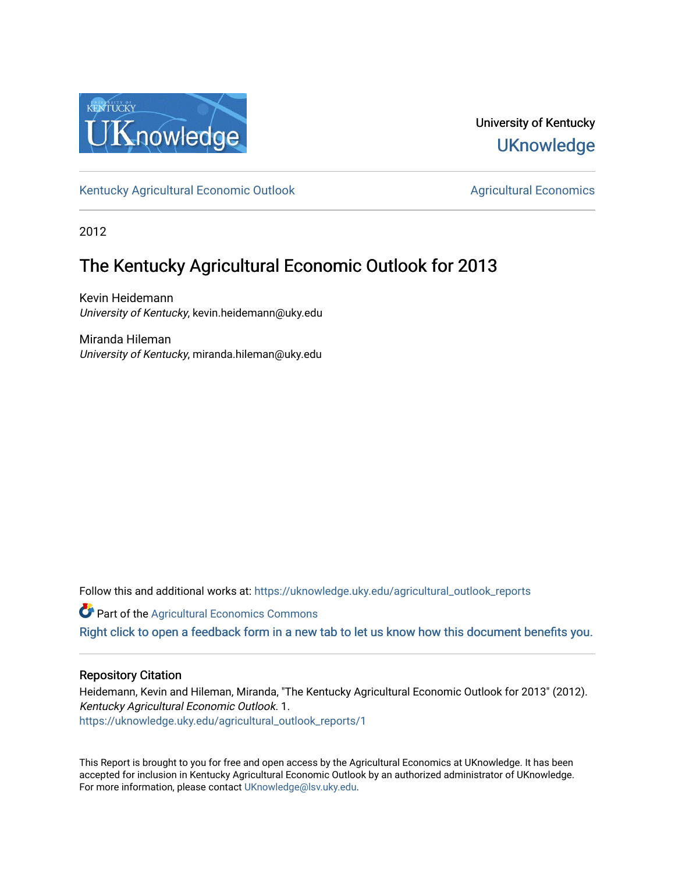

University of Kentucky **UKnowledge** 

[Kentucky Agricultural Economic Outlook](https://uknowledge.uky.edu/agricultural_outlook_reports) [Agricultural Economics](https://uknowledge.uky.edu/agecon) Agricultural Economics

2012

# The Kentucky Agricultural Economic Outlook for 2013

Kevin Heidemann University of Kentucky, kevin.heidemann@uky.edu

Miranda Hileman University of Kentucky, miranda.hileman@uky.edu

Follow this and additional works at: [https://uknowledge.uky.edu/agricultural\\_outlook\\_reports](https://uknowledge.uky.edu/agricultural_outlook_reports?utm_source=uknowledge.uky.edu%2Fagricultural_outlook_reports%2F1&utm_medium=PDF&utm_campaign=PDFCoverPages) 

**Part of the Agricultural Economics Commons** 

[Right click to open a feedback form in a new tab to let us know how this document benefits you.](https://uky.az1.qualtrics.com/jfe/form/SV_9mq8fx2GnONRfz7)

# Repository Citation

Heidemann, Kevin and Hileman, Miranda, "The Kentucky Agricultural Economic Outlook for 2013" (2012). Kentucky Agricultural Economic Outlook. 1. [https://uknowledge.uky.edu/agricultural\\_outlook\\_reports/1](https://uknowledge.uky.edu/agricultural_outlook_reports/1?utm_source=uknowledge.uky.edu%2Fagricultural_outlook_reports%2F1&utm_medium=PDF&utm_campaign=PDFCoverPages) 

This Report is brought to you for free and open access by the Agricultural Economics at UKnowledge. It has been accepted for inclusion in Kentucky Agricultural Economic Outlook by an authorized administrator of UKnowledge. For more information, please contact [UKnowledge@lsv.uky.edu.](mailto:UKnowledge@lsv.uky.edu)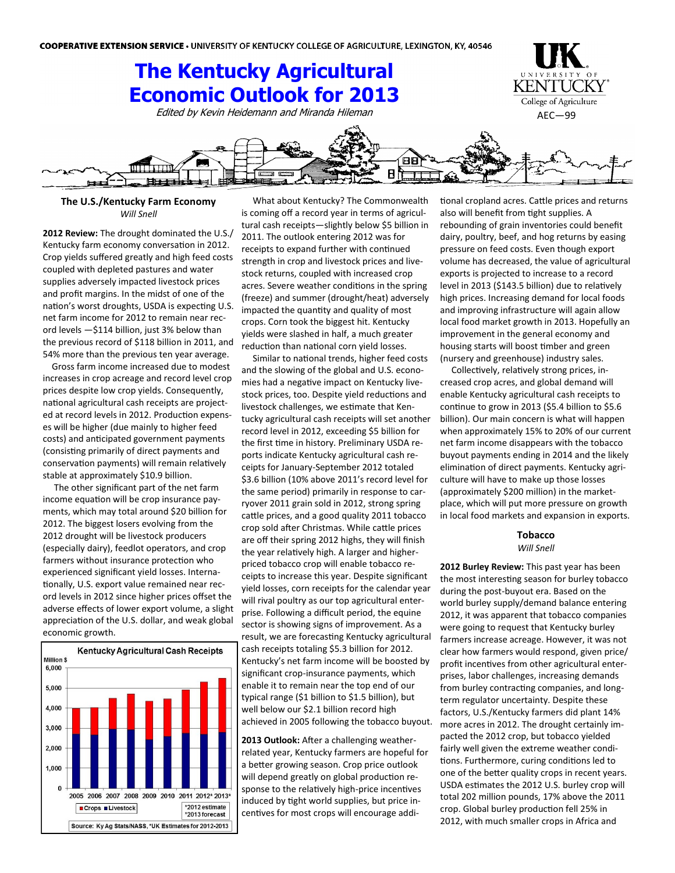

## **The U.S./Kentucky Farm Economy** *Will Snell*

**2012 Review:** The drought dominated the U.S./ Kentucky farm economy conversation in 2012. Crop yields suffered greatly and high feed costs coupled with depleted pastures and water supplies adversely impacted livestock prices and profit margins. In the midst of one of the nation's worst droughts, USDA is expecting U.S. net farm income for 2012 to remain near record levels —\$114 billion, just 3% below than the previous record of \$118 billion in 2011, and 54% more than the previous ten year average.

 Gross farm income increased due to modest increases in crop acreage and record level crop prices despite low crop yields. Consequently, national agricultural cash receipts are projected at record levels in 2012. Production expenses will be higher (due mainly to higher feed costs) and anticipated government payments (consisting primarily of direct payments and conservation payments) will remain relatively stable at approximately \$10.9 billion.

 The other significant part of the net farm income equation will be crop insurance payments, which may total around \$20 billion for 2012. The biggest losers evolving from the 2012 drought will be livestock producers (especially dairy), feedlot operators, and crop farmers without insurance protection who experienced significant yield losses. Internationally, U.S. export value remained near record levels in 2012 since higher prices offset the adverse effects of lower export volume, a slight appreciation of the U.S. dollar, and weak global economic growth.



What about Kentucky? The Commonwealth is coming off a record year in terms of agricultural cash receipts—slightly below \$5 billion in 2011. The outlook entering 2012 was for receipts to expand further with continued strength in crop and livestock prices and livestock returns, coupled with increased crop acres. Severe weather conditions in the spring (freeze) and summer (drought/heat) adversely impacted the quantity and quality of most crops. Corn took the biggest hit. Kentucky yields were slashed in half, a much greater reduction than national corn yield losses.

 Similar to national trends, higher feed costs and the slowing of the global and U.S. economies had a negative impact on Kentucky livestock prices, too. Despite yield reductions and livestock challenges, we estimate that Kentucky agricultural cash receipts will set another record level in 2012, exceeding \$5 billion for the first time in history. Preliminary USDA reports indicate Kentucky agricultural cash receipts for January-September 2012 totaled \$3.6 billion (10% above 2011's record level for the same period) primarily in response to carryover 2011 grain sold in 2012, strong spring cattle prices, and a good quality 2011 tobacco crop sold after Christmas. While cattle prices are off their spring 2012 highs, they will finish the year relatively high. A larger and higherpriced tobacco crop will enable tobacco receipts to increase this year. Despite significant yield losses, corn receipts for the calendar year will rival poultry as our top agricultural enterprise. Following a difficult period, the equine sector is showing signs of improvement. As a result, we are forecasting Kentucky agricultural cash receipts totaling \$5.3 billion for 2012. Kentucky's net farm income will be boosted by significant crop-insurance payments, which enable it to remain near the top end of our typical range (\$1 billion to \$1.5 billion), but well below our \$2.1 billion record high achieved in 2005 following the tobacco buyout.

**2013 Outlook:** After a challenging weatherrelated year, Kentucky farmers are hopeful for a better growing season. Crop price outlook will depend greatly on global production response to the relatively high-price incentives induced by tight world supplies, but price incentives for most crops will encourage additional cropland acres. Cattle prices and returns also will benefit from tight supplies. A rebounding of grain inventories could benefit dairy, poultry, beef, and hog returns by easing pressure on feed costs. Even though export volume has decreased, the value of agricultural exports is projected to increase to a record level in 2013 (\$143.5 billion) due to relatively high prices. Increasing demand for local foods and improving infrastructure will again allow local food market growth in 2013. Hopefully an improvement in the general economy and housing starts will boost timber and green (nursery and greenhouse) industry sales.

 Collectively, relatively strong prices, increased crop acres, and global demand will enable Kentucky agricultural cash receipts to continue to grow in 2013 (\$5.4 billion to \$5.6 billion). Our main concern is what will happen when approximately 15% to 20% of our current net farm income disappears with the tobacco buyout payments ending in 2014 and the likely elimination of direct payments. Kentucky agriculture will have to make up those losses (approximately \$200 million) in the marketplace, which will put more pressure on growth in local food markets and expansion in exports.

#### **Tobacco** *Will Snell*

**2012 Burley Review:** This past year has been the most interesting season for burley tobacco during the post-buyout era. Based on the world burley supply/demand balance entering 2012, it was apparent that tobacco companies were going to request that Kentucky burley farmers increase acreage. However, it was not clear how farmers would respond, given price/ profit incentives from other agricultural enterprises, labor challenges, increasing demands from burley contracting companies, and longterm regulator uncertainty. Despite these factors, U.S./Kentucky farmers did plant 14% more acres in 2012. The drought certainly impacted the 2012 crop, but tobacco yielded fairly well given the extreme weather conditions. Furthermore, curing conditions led to one of the better quality crops in recent years. USDA estimates the 2012 U.S. burley crop will total 202 million pounds, 17% above the 2011 crop. Global burley production fell 25% in 2012, with much smaller crops in Africa and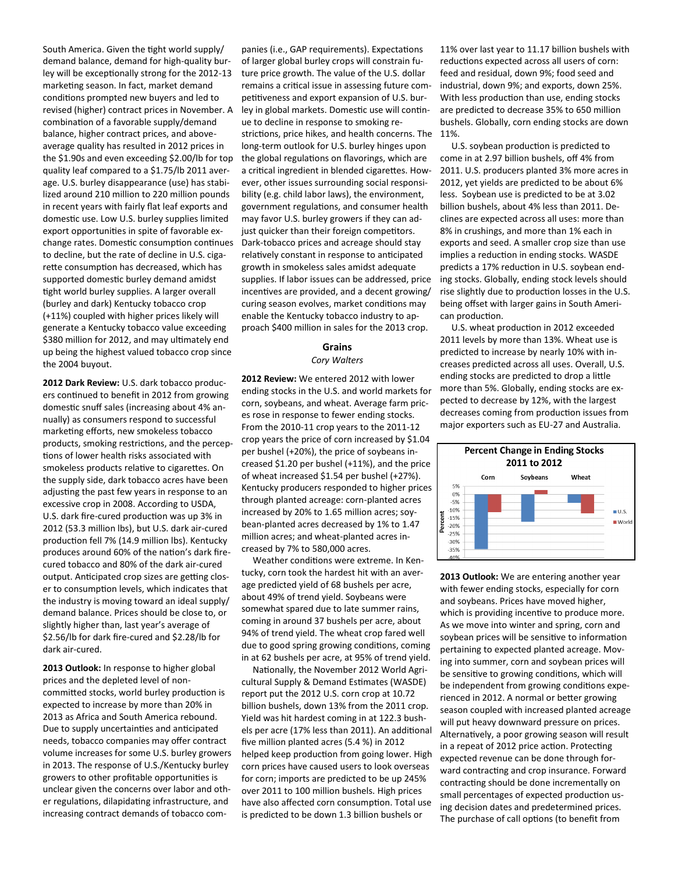South America. Given the tight world supply/ demand balance, demand for high-quality burley will be exceptionally strong for the 2012-13 marketing season. In fact, market demand conditions prompted new buyers and led to revised (higher) contract prices in November. A combination of a favorable supply/demand balance, higher contract prices, and aboveaverage quality has resulted in 2012 prices in the \$1.90s and even exceeding \$2.00/lb for top quality leaf compared to a \$1.75/lb 2011 average. U.S. burley disappearance (use) has stabilized around 210 million to 220 million pounds in recent years with fairly flat leaf exports and domestic use. Low U.S. burley supplies limited export opportunities in spite of favorable exchange rates. Domestic consumption continues to decline, but the rate of decline in U.S. cigarette consumption has decreased, which has supported domestic burley demand amidst tight world burley supplies. A larger overall (burley and dark) Kentucky tobacco crop (+11%) coupled with higher prices likely will generate a Kentucky tobacco value exceeding \$380 million for 2012, and may ultimately end up being the highest valued tobacco crop since the 2004 buyout.

**2012 Dark Review:** U.S. dark tobacco producers continued to benefit in 2012 from growing domestic snuff sales (increasing about 4% annually) as consumers respond to successful marketing efforts, new smokeless tobacco products, smoking restrictions, and the perceptions of lower health risks associated with smokeless products relative to cigarettes. On the supply side, dark tobacco acres have been adjusting the past few years in response to an excessive crop in 2008. According to USDA, U.S. dark fire-cured production was up 3% in 2012 (53.3 million lbs), but U.S. dark air-cured production fell 7% (14.9 million lbs). Kentucky produces around 60% of the nation's dark firecured tobacco and 80% of the dark air-cured output. Anticipated crop sizes are getting closer to consumption levels, which indicates that the industry is moving toward an ideal supply/ demand balance. Prices should be close to, or slightly higher than, last year's average of \$2.56/lb for dark fire-cured and \$2.28/lb for dark air-cured.

**2013 Outlook:** In response to higher global prices and the depleted level of noncommitted stocks, world burley production is expected to increase by more than 20% in 2013 as Africa and South America rebound. Due to supply uncertainties and anticipated needs, tobacco companies may offer contract volume increases for some U.S. burley growers in 2013. The response of U.S./Kentucky burley growers to other profitable opportunities is unclear given the concerns over labor and other regulations, dilapidating infrastructure, and increasing contract demands of tobacco com-

panies (i.e., GAP requirements). Expectations of larger global burley crops will constrain future price growth. The value of the U.S. dollar remains a critical issue in assessing future competitiveness and export expansion of U.S. burley in global markets. Domestic use will continue to decline in response to smoking restrictions, price hikes, and health concerns. The long-term outlook for U.S. burley hinges upon the global regulations on flavorings, which are a critical ingredient in blended cigarettes. However, other issues surrounding social responsibility (e.g. child labor laws), the environment, government regulations, and consumer health may favor U.S. burley growers if they can adjust quicker than their foreign competitors. Dark-tobacco prices and acreage should stay relatively constant in response to anticipated growth in smokeless sales amidst adequate supplies. If labor issues can be addressed, price incentives are provided, and a decent growing/ curing season evolves, market conditions may enable the Kentucky tobacco industry to approach \$400 million in sales for the 2013 crop.

## **Grains** *Cory Walters*

**2012 Review:** We entered 2012 with lower ending stocks in the U.S. and world markets for corn, soybeans, and wheat. Average farm prices rose in response to fewer ending stocks. From the 2010-11 crop years to the 2011-12 crop years the price of corn increased by \$1.04 per bushel (+20%), the price of soybeans increased \$1.20 per bushel (+11%), and the price of wheat increased \$1.54 per bushel (+27%). Kentucky producers responded to higher prices through planted acreage: corn-planted acres increased by 20% to 1.65 million acres; soybean-planted acres decreased by 1% to 1.47 million acres; and wheat-planted acres increased by 7% to 580,000 acres.

 Weather conditions were extreme. In Kentucky, corn took the hardest hit with an average predicted yield of 68 bushels per acre, about 49% of trend yield. Soybeans were somewhat spared due to late summer rains, coming in around 37 bushels per acre, about 94% of trend yield. The wheat crop fared well due to good spring growing conditions, coming in at 62 bushels per acre, at 95% of trend yield.

 Nationally, the November 2012 World Agricultural Supply & Demand Estimates (WASDE) report put the 2012 U.S. corn crop at 10.72 billion bushels, down 13% from the 2011 crop. Yield was hit hardest coming in at 122.3 bushels per acre (17% less than 2011). An additional five million planted acres (5.4 %) in 2012 helped keep production from going lower. High corn prices have caused users to look overseas for corn; imports are predicted to be up 245% over 2011 to 100 million bushels. High prices have also affected corn consumption. Total use is predicted to be down 1.3 billion bushels or

11% over last year to 11.17 billion bushels with reductions expected across all users of corn: feed and residual, down 9%; food seed and industrial, down 9%; and exports, down 25%. With less production than use, ending stocks are predicted to decrease 35% to 650 million bushels. Globally, corn ending stocks are down 11%.

 U.S. soybean production is predicted to come in at 2.97 billion bushels, off 4% from 2011. U.S. producers planted 3% more acres in 2012, yet yields are predicted to be about 6% less. Soybean use is predicted to be at 3.02 billion bushels, about 4% less than 2011. Declines are expected across all uses: more than 8% in crushings, and more than 1% each in exports and seed. A smaller crop size than use implies a reduction in ending stocks. WASDE predicts a 17% reduction in U.S. soybean ending stocks. Globally, ending stock levels should rise slightly due to production losses in the U.S. being offset with larger gains in South American production.

 U.S. wheat production in 2012 exceeded 2011 levels by more than 13%. Wheat use is predicted to increase by nearly 10% with increases predicted across all uses. Overall, U.S. ending stocks are predicted to drop a little more than 5%. Globally, ending stocks are expected to decrease by 12%, with the largest decreases coming from production issues from major exporters such as EU-27 and Australia.



**2013 Outlook:** We are entering another year with fewer ending stocks, especially for corn and soybeans. Prices have moved higher, which is providing incentive to produce more. As we move into winter and spring, corn and soybean prices will be sensitive to information pertaining to expected planted acreage. Moving into summer, corn and soybean prices will be sensitive to growing conditions, which will be independent from growing conditions experienced in 2012. A normal or better growing season coupled with increased planted acreage will put heavy downward pressure on prices. Alternatively, a poor growing season will result in a repeat of 2012 price action. Protecting expected revenue can be done through forward contracting and crop insurance. Forward contracting should be done incrementally on small percentages of expected production using decision dates and predetermined prices. The purchase of call options (to benefit from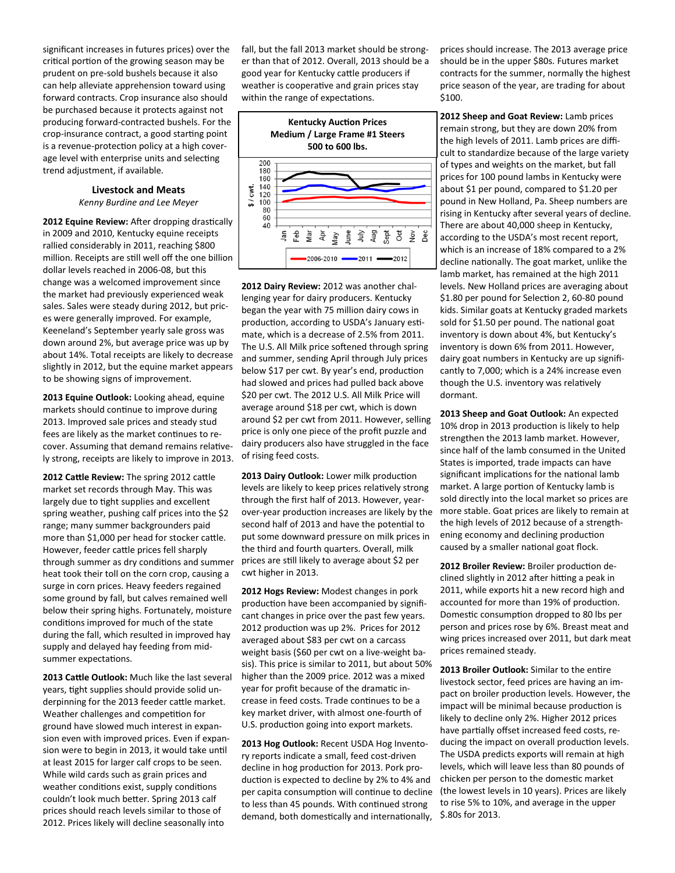significant increases in futures prices) over the critical portion of the growing season may be prudent on pre-sold bushels because it also can help alleviate apprehension toward using forward contracts. Crop insurance also should be purchased because it protects against not producing forward-contracted bushels. For the crop-insurance contract, a good starting point is a revenue-protection policy at a high coverage level with enterprise units and selecting trend adjustment, if available.

# **Livestock and Meats**

*Kenny Burdine and Lee Meyer*

**2012 Equine Review:** After dropping drastically in 2009 and 2010, Kentucky equine receipts rallied considerably in 2011, reaching \$800 million. Receipts are still well off the one billion dollar levels reached in 2006-08, but this change was a welcomed improvement since the market had previously experienced weak sales. Sales were steady during 2012, but prices were generally improved. For example, Keeneland's September yearly sale gross was down around 2%, but average price was up by about 14%. Total receipts are likely to decrease slightly in 2012, but the equine market appears to be showing signs of improvement.

**2013 Equine Outlook:** Looking ahead, equine markets should continue to improve during 2013. Improved sale prices and steady stud fees are likely as the market continues to recover. Assuming that demand remains relatively strong, receipts are likely to improve in 2013.

**2012 Cattle Review:** The spring 2012 cattle market set records through May. This was largely due to tight supplies and excellent spring weather, pushing calf prices into the \$2 range; many summer backgrounders paid more than \$1,000 per head for stocker cattle. However, feeder cattle prices fell sharply through summer as dry conditions and summer heat took their toll on the corn crop, causing a surge in corn prices. Heavy feeders regained some ground by fall, but calves remained well below their spring highs. Fortunately, moisture conditions improved for much of the state during the fall, which resulted in improved hay supply and delayed hay feeding from midsummer expectations.

**2013 Cattle Outlook:** Much like the last several years, tight supplies should provide solid underpinning for the 2013 feeder cattle market. Weather challenges and competition for ground have slowed much interest in expansion even with improved prices. Even if expansion were to begin in 2013, it would take until at least 2015 for larger calf crops to be seen. While wild cards such as grain prices and weather conditions exist, supply conditions couldn't look much better. Spring 2013 calf prices should reach levels similar to those of 2012. Prices likely will decline seasonally into

fall, but the fall 2013 market should be stronger than that of 2012. Overall, 2013 should be a good year for Kentucky cattle producers if weather is cooperative and grain prices stay within the range of expectations.



**2012 Dairy Review:** 2012 was another challenging year for dairy producers. Kentucky began the year with 75 million dairy cows in production, according to USDA's January estimate, which is a decrease of 2.5% from 2011. The U.S. All Milk price softened through spring and summer, sending April through July prices below \$17 per cwt. By year's end, production had slowed and prices had pulled back above \$20 per cwt. The 2012 U.S. All Milk Price will average around \$18 per cwt, which is down around \$2 per cwt from 2011. However, selling price is only one piece of the profit puzzle and dairy producers also have struggled in the face of rising feed costs.

**2013 Dairy Outlook:** Lower milk production levels are likely to keep prices relatively strong through the first half of 2013. However, yearover-year production increases are likely by the second half of 2013 and have the potential to put some downward pressure on milk prices in the third and fourth quarters. Overall, milk prices are still likely to average about \$2 per cwt higher in 2013.

**2012 Hogs Review:** Modest changes in pork production have been accompanied by significant changes in price over the past few years. 2012 production was up 2%. Prices for 2012 averaged about \$83 per cwt on a carcass weight basis (\$60 per cwt on a live-weight basis). This price is similar to 2011, but about 50% higher than the 2009 price. 2012 was a mixed year for profit because of the dramatic increase in feed costs. Trade continues to be a key market driver, with almost one-fourth of U.S. production going into export markets.

**2013 Hog Outlook:** Recent USDA Hog Inventory reports indicate a small, feed cost-driven decline in hog production for 2013. Pork production is expected to decline by 2% to 4% and per capita consumption will continue to decline to less than 45 pounds. With continued strong demand, both domestically and internationally,

prices should increase. The 2013 average price should be in the upper \$80s. Futures market contracts for the summer, normally the highest price season of the year, are trading for about \$100.

**2012 Sheep and Goat Review:** Lamb prices remain strong, but they are down 20% from the high levels of 2011. Lamb prices are difficult to standardize because of the large variety of types and weights on the market, but fall prices for 100 pound lambs in Kentucky were about \$1 per pound, compared to \$1.20 per pound in New Holland, Pa. Sheep numbers are rising in Kentucky after several years of decline. There are about 40,000 sheep in Kentucky, according to the USDA's most recent report, which is an increase of 18% compared to a 2% decline nationally. The goat market, unlike the lamb market, has remained at the high 2011 levels. New Holland prices are averaging about \$1.80 per pound for Selection 2, 60-80 pound kids. Similar goats at Kentucky graded markets sold for \$1.50 per pound. The national goat inventory is down about 4%, but Kentucky's inventory is down 6% from 2011. However, dairy goat numbers in Kentucky are up significantly to 7,000; which is a 24% increase even though the U.S. inventory was relatively dormant.

**2013 Sheep and Goat Outlook:** An expected 10% drop in 2013 production is likely to help strengthen the 2013 lamb market. However, since half of the lamb consumed in the United States is imported, trade impacts can have significant implications for the national lamb market. A large portion of Kentucky lamb is sold directly into the local market so prices are more stable. Goat prices are likely to remain at the high levels of 2012 because of a strengthening economy and declining production caused by a smaller national goat flock.

**2012 Broiler Review:** Broiler production declined slightly in 2012 after hitting a peak in 2011, while exports hit a new record high and accounted for more than 19% of production. Domestic consumption dropped to 80 lbs per person and prices rose by 6%. Breast meat and wing prices increased over 2011, but dark meat prices remained steady.

**2013 Broiler Outlook:** Similar to the entire livestock sector, feed prices are having an impact on broiler production levels. However, the impact will be minimal because production is likely to decline only 2%. Higher 2012 prices have partially offset increased feed costs, reducing the impact on overall production levels. The USDA predicts exports will remain at high levels, which will leave less than 80 pounds of chicken per person to the domestic market (the lowest levels in 10 years). Prices are likely to rise 5% to 10%, and average in the upper \$.80s for 2013.